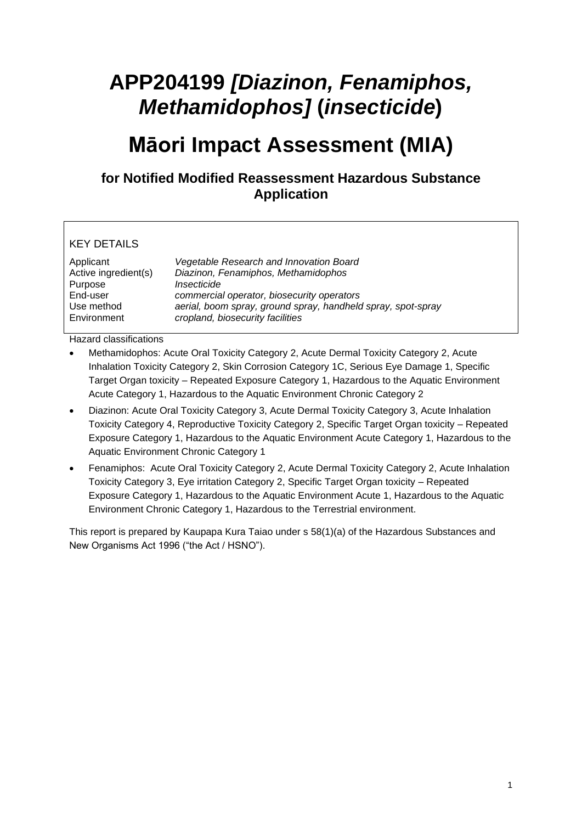# **APP204199** *[Diazinon, Fenamiphos, Methamidophos]* **(***insecticide***)**

## **Māori Impact Assessment (MIA)**

### **for Notified Modified Reassessment Hazardous Substance Application**

### KEY DETAILS

| Applicant            | Vegetable Research and Innovation Board                      |
|----------------------|--------------------------------------------------------------|
| Active ingredient(s) | Diazinon, Fenamiphos, Methamidophos                          |
| Purpose              | Insecticide                                                  |
| End-user             | commercial operator, biosecurity operators                   |
| Use method           | aerial, boom spray, ground spray, handheld spray, spot-spray |
| Environment          | cropland, biosecurity facilities                             |

Hazard classifications

- Methamidophos: Acute Oral Toxicity Category 2, Acute Dermal Toxicity Category 2, Acute Inhalation Toxicity Category 2, Skin Corrosion Category 1C, Serious Eye Damage 1, Specific Target Organ toxicity – Repeated Exposure Category 1, Hazardous to the Aquatic Environment Acute Category 1, Hazardous to the Aquatic Environment Chronic Category 2
- Diazinon: Acute Oral Toxicity Category 3, Acute Dermal Toxicity Category 3, Acute Inhalation Toxicity Category 4, Reproductive Toxicity Category 2, Specific Target Organ toxicity – Repeated Exposure Category 1, Hazardous to the Aquatic Environment Acute Category 1, Hazardous to the Aquatic Environment Chronic Category 1
- Fenamiphos: Acute Oral Toxicity Category 2, Acute Dermal Toxicity Category 2, Acute Inhalation Toxicity Category 3, Eye irritation Category 2, Specific Target Organ toxicity – Repeated Exposure Category 1, Hazardous to the Aquatic Environment Acute 1, Hazardous to the Aquatic Environment Chronic Category 1, Hazardous to the Terrestrial environment.

This report is prepared by Kaupapa Kura Taiao under s 58(1)(a) of the Hazardous Substances and New Organisms Act 1996 ("the Act / HSNO").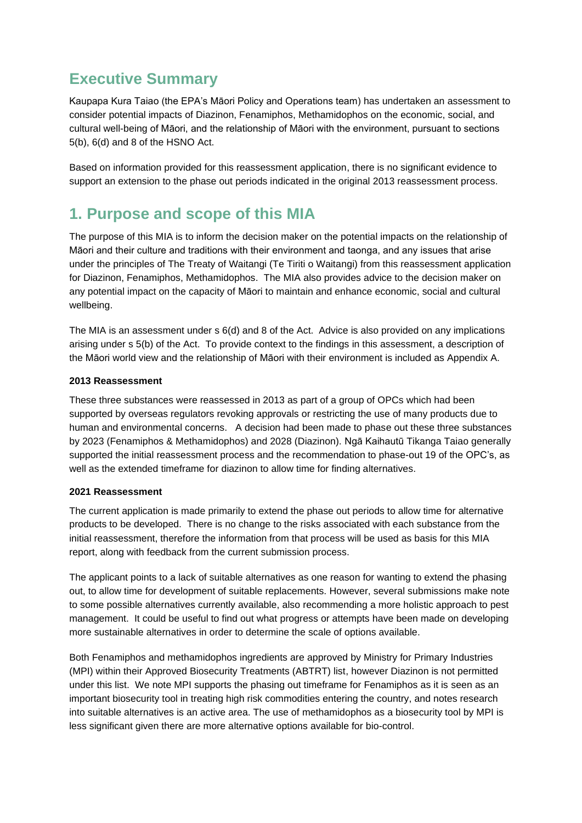### **Executive Summary**

Kaupapa Kura Taiao (the EPA's Māori Policy and Operations team) has undertaken an assessment to consider potential impacts of Diazinon, Fenamiphos, Methamidophos on the economic, social, and cultural well-being of Māori, and the relationship of Māori with the environment, pursuant to sections 5(b), 6(d) and 8 of the HSNO Act.

Based on information provided for this reassessment application, there is no significant evidence to support an extension to the phase out periods indicated in the original 2013 reassessment process.

### **1. Purpose and scope of this MIA**

The purpose of this MIA is to inform the decision maker on the potential impacts on the relationship of Māori and their culture and traditions with their environment and taonga, and any issues that arise under the principles of The Treaty of Waitangi (Te Tiriti o Waitangi) from this reassessment application for Diazinon, Fenamiphos, Methamidophos. The MIA also provides advice to the decision maker on any potential impact on the capacity of Māori to maintain and enhance economic, social and cultural wellbeing.

The MIA is an assessment under s 6(d) and 8 of the Act. Advice is also provided on any implications arising under s 5(b) of the Act. To provide context to the findings in this assessment, a description of the Māori world view and the relationship of Māori with their environment is included as Appendix A.

### **2013 Reassessment**

These three substances were reassessed in 2013 as part of a group of OPCs which had been supported by overseas regulators revoking approvals or restricting the use of many products due to human and environmental concerns. A decision had been made to phase out these three substances by 2023 (Fenamiphos & Methamidophos) and 2028 (Diazinon). Ngā Kaihautū Tikanga Taiao generally supported the initial reassessment process and the recommendation to phase-out 19 of the OPC's, as well as the extended timeframe for diazinon to allow time for finding alternatives.

#### **2021 Reassessment**

The current application is made primarily to extend the phase out periods to allow time for alternative products to be developed. There is no change to the risks associated with each substance from the initial reassessment, therefore the information from that process will be used as basis for this MIA report, along with feedback from the current submission process.

The applicant points to a lack of suitable alternatives as one reason for wanting to extend the phasing out, to allow time for development of suitable replacements. However, several submissions make note to some possible alternatives currently available, also recommending a more holistic approach to pest management. It could be useful to find out what progress or attempts have been made on developing more sustainable alternatives in order to determine the scale of options available.

Both Fenamiphos and methamidophos ingredients are approved by Ministry for Primary Industries (MPI) within their Approved Biosecurity Treatments (ABTRT) list, however Diazinon is not permitted under this list. We note MPI supports the phasing out timeframe for Fenamiphos as it is seen as an important biosecurity tool in treating high risk commodities entering the country, and notes research into suitable alternatives is an active area. The use of methamidophos as a biosecurity tool by MPI is less significant given there are more alternative options available for bio-control.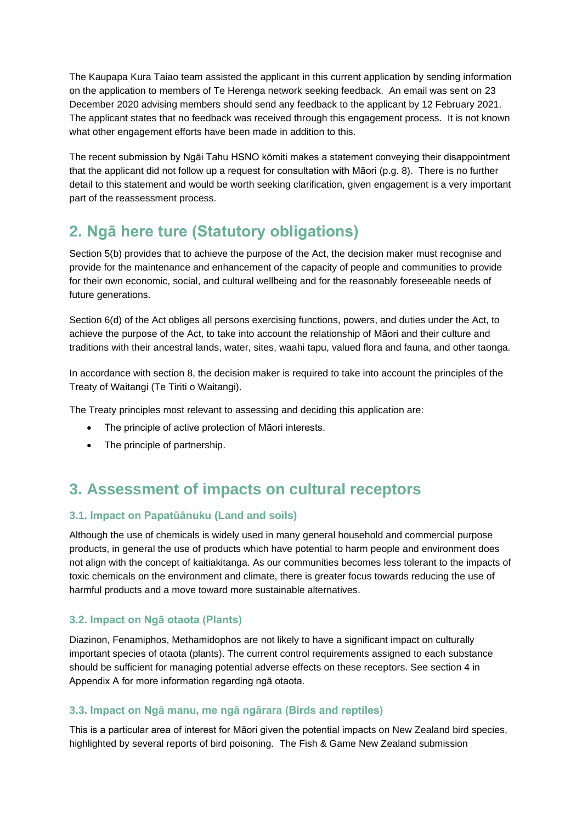The Kaupapa Kura Taiao team assisted the applicant in this current application by sending information on the application to members of Te Herenga network seeking feedback. An email was sent on 23 December 2020 advising members should send any feedback to the applicant by 12 February 2021. The applicant states that no feedback was received through this engagement process. It is not known what other engagement efforts have been made in addition to this.

The recent submission by Ngāi Tahu HSNO kōmiti makes a statement conveying their disappointment that the applicant did not follow up a request for consultation with Māori (p.g. 8). There is no further detail to this statement and would be worth seeking clarification, given engagement is a very important part of the reassessment process.

### **2. Ngā here ture (Statutory obligations)**

Section 5(b) provides that to achieve the purpose of the Act, the decision maker must recognise and provide for the maintenance and enhancement of the capacity of people and communities to provide for their own economic, social, and cultural wellbeing and for the reasonably foreseeable needs of future generations.

Section 6(d) of the Act obliges all persons exercising functions, powers, and duties under the Act, to achieve the purpose of the Act, to take into account the relationship of Māori and their culture and traditions with their ancestral lands, water, sites, waahi tapu, valued flora and fauna, and other taonga.

In accordance with section 8, the decision maker is required to take into account the principles of the Treaty of Waitangi (Te Tiriti o Waitangi).

The Treaty principles most relevant to assessing and deciding this application are:

- The principle of active protection of Māori interests.
- The principle of partnership.

### **3. Assessment of impacts on cultural receptors**

### **3.1. Impact on Papatūānuku (Land and soils)**

Although the use of chemicals is widely used in many general household and commercial purpose products, in general the use of products which have potential to harm people and environment does not align with the concept of kaitiakitanga. As our communities becomes less tolerant to the impacts of toxic chemicals on the environment and climate, there is greater focus towards reducing the use of harmful products and a move toward more sustainable alternatives.

### **3.2. Impact on Ngā otaota (Plants)**

Diazinon, Fenamiphos, Methamidophos are not likely to have a significant impact on culturally important species of otaota (plants). The current control requirements assigned to each substance should be sufficient for managing potential adverse effects on these receptors. See section 4 in Appendix A for more information regarding ngā otaota.

### **3.3. Impact on Ngā manu, me ngā ngārara (Birds and reptiles)**

This is a particular area of interest for Māori given the potential impacts on New Zealand bird species, highlighted by several reports of bird poisoning. The Fish & Game New Zealand submission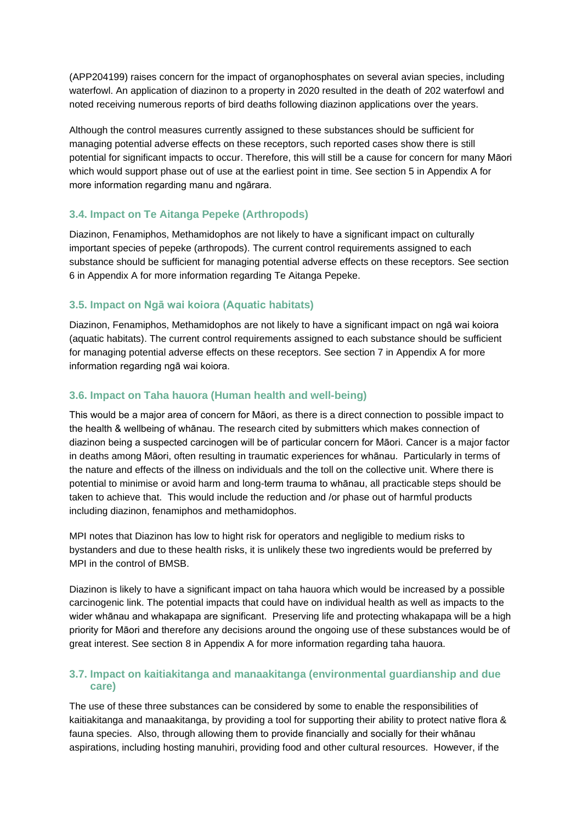(APP204199) raises concern for the impact of organophosphates on several avian species, including waterfowl. An application of diazinon to a property in 2020 resulted in the death of 202 waterfowl and noted receiving numerous reports of bird deaths following diazinon applications over the years.

Although the control measures currently assigned to these substances should be sufficient for managing potential adverse effects on these receptors, such reported cases show there is still potential for significant impacts to occur. Therefore, this will still be a cause for concern for many Māori which would support phase out of use at the earliest point in time. See section 5 in Appendix A for more information regarding manu and ngārara.

### **3.4. Impact on Te Aitanga Pepeke (Arthropods)**

Diazinon, Fenamiphos, Methamidophos are not likely to have a significant impact on culturally important species of pepeke (arthropods). The current control requirements assigned to each substance should be sufficient for managing potential adverse effects on these receptors. See section 6 in Appendix A for more information regarding Te Aitanga Pepeke.

### **3.5. Impact on Ngā wai koiora (Aquatic habitats)**

Diazinon, Fenamiphos, Methamidophos are not likely to have a significant impact on ngā wai koiora (aquatic habitats). The current control requirements assigned to each substance should be sufficient for managing potential adverse effects on these receptors. See section 7 in Appendix A for more information regarding ngā wai koiora.

### **3.6. Impact on Taha hauora (Human health and well-being)**

This would be a major area of concern for Māori, as there is a direct connection to possible impact to the health & wellbeing of whānau. The research cited by submitters which makes connection of diazinon being a suspected carcinogen will be of particular concern for Māori. Cancer is a major factor in deaths among Māori, often resulting in traumatic experiences for whānau. Particularly in terms of the nature and effects of the illness on individuals and the toll on the collective unit. Where there is potential to minimise or avoid harm and long-term trauma to whānau, all practicable steps should be taken to achieve that. This would include the reduction and /or phase out of harmful products including diazinon, fenamiphos and methamidophos.

MPI notes that Diazinon has low to hight risk for operators and negligible to medium risks to bystanders and due to these health risks, it is unlikely these two ingredients would be preferred by MPI in the control of BMSB.

Diazinon is likely to have a significant impact on taha hauora which would be increased by a possible carcinogenic link. The potential impacts that could have on individual health as well as impacts to the wider whānau and whakapapa are significant. Preserving life and protecting whakapapa will be a high priority for Māori and therefore any decisions around the ongoing use of these substances would be of great interest. See section 8 in Appendix A for more information regarding taha hauora.

### **3.7. Impact on kaitiakitanga and manaakitanga (environmental guardianship and due care)**

The use of these three substances can be considered by some to enable the responsibilities of kaitiakitanga and manaakitanga, by providing a tool for supporting their ability to protect native flora & fauna species. Also, through allowing them to provide financially and socially for their whānau aspirations, including hosting manuhiri, providing food and other cultural resources. However, if the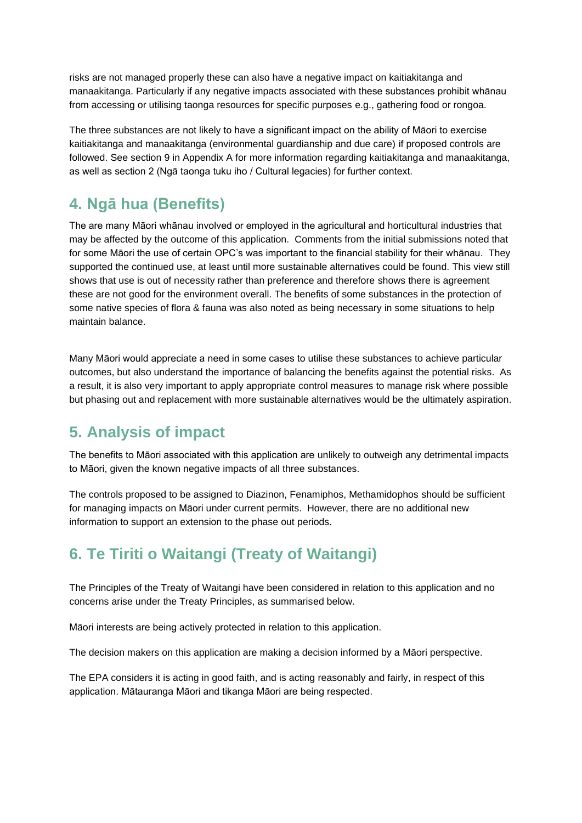risks are not managed properly these can also have a negative impact on kaitiakitanga and manaakitanga. Particularly if any negative impacts associated with these substances prohibit whānau from accessing or utilising taonga resources for specific purposes e.g., gathering food or rongoa.

The three substances are not likely to have a significant impact on the ability of Māori to exercise kaitiakitanga and manaakitanga (environmental guardianship and due care) if proposed controls are followed. See section 9 in Appendix A for more information regarding kaitiakitanga and manaakitanga, as well as section 2 (Ngā taonga tuku iho / Cultural legacies) for further context.

### **4. Ngā hua (Benefits)**

The are many Māori whānau involved or employed in the agricultural and horticultural industries that may be affected by the outcome of this application. Comments from the initial submissions noted that for some Māori the use of certain OPC's was important to the financial stability for their whānau. They supported the continued use, at least until more sustainable alternatives could be found. This view still shows that use is out of necessity rather than preference and therefore shows there is agreement these are not good for the environment overall. The benefits of some substances in the protection of some native species of flora & fauna was also noted as being necessary in some situations to help maintain balance.

Many Māori would appreciate a need in some cases to utilise these substances to achieve particular outcomes, but also understand the importance of balancing the benefits against the potential risks. As a result, it is also very important to apply appropriate control measures to manage risk where possible but phasing out and replacement with more sustainable alternatives would be the ultimately aspiration.

### **5. Analysis of impact**

The benefits to Māori associated with this application are unlikely to outweigh any detrimental impacts to Māori, given the known negative impacts of all three substances.

The controls proposed to be assigned to Diazinon, Fenamiphos, Methamidophos should be sufficient for managing impacts on Māori under current permits. However, there are no additional new information to support an extension to the phase out periods.

### **6. Te Tiriti o Waitangi (Treaty of Waitangi)**

The Principles of the Treaty of Waitangi have been considered in relation to this application and no concerns arise under the Treaty Principles, as summarised below.

Māori interests are being actively protected in relation to this application.

The decision makers on this application are making a decision informed by a Māori perspective.

The EPA considers it is acting in good faith, and is acting reasonably and fairly, in respect of this application. Mātauranga Māori and tikanga Māori are being respected.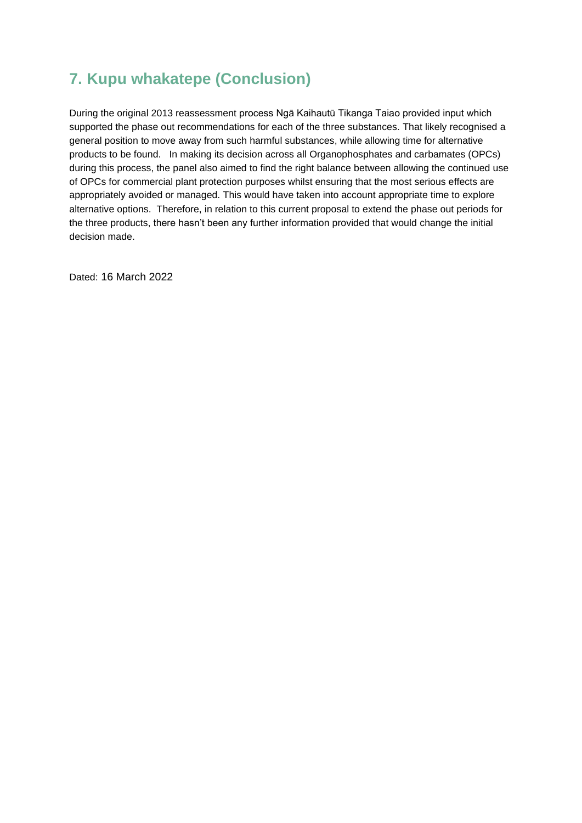### **7. Kupu whakatepe (Conclusion)**

During the original 2013 reassessment process Ngā Kaihautū Tikanga Taiao provided input which supported the phase out recommendations for each of the three substances. That likely recognised a general position to move away from such harmful substances, while allowing time for alternative products to be found. In making its decision across all Organophosphates and carbamates (OPCs) during this process, the panel also aimed to find the right balance between allowing the continued use of OPCs for commercial plant protection purposes whilst ensuring that the most serious effects are appropriately avoided or managed. This would have taken into account appropriate time to explore alternative options. Therefore, in relation to this current proposal to extend the phase out periods for the three products, there hasn't been any further information provided that would change the initial decision made.

Dated: 16 March 2022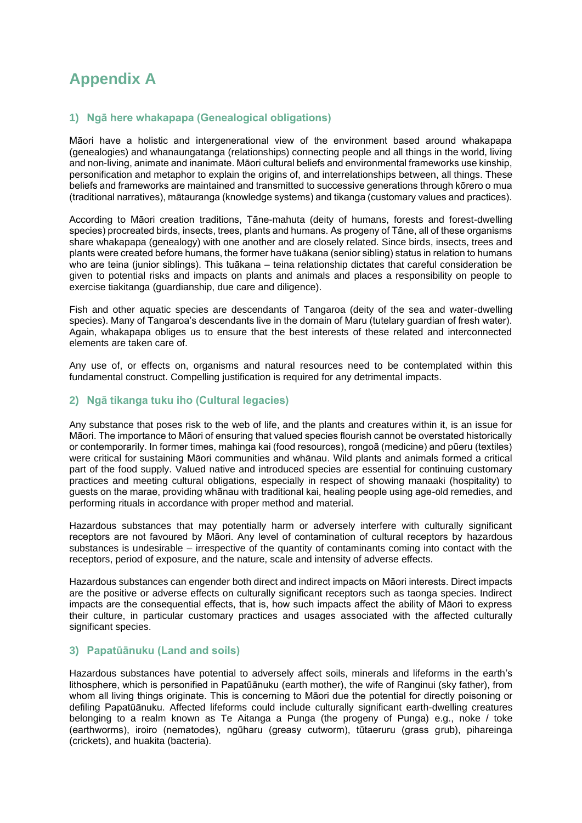## **Appendix A**

### **1) Ngā here whakapapa (Genealogical obligations)**

Māori have a holistic and intergenerational view of the environment based around whakapapa (genealogies) and whanaungatanga (relationships) connecting people and all things in the world, living and non-living, animate and inanimate. Māori cultural beliefs and environmental frameworks use kinship, personification and metaphor to explain the origins of, and interrelationships between, all things. These beliefs and frameworks are maintained and transmitted to successive generations through kōrero o mua (traditional narratives), mātauranga (knowledge systems) and tikanga (customary values and practices).

According to Māori creation traditions, Tāne-mahuta (deity of humans, forests and forest-dwelling species) procreated birds, insects, trees, plants and humans. As progeny of Tāne, all of these organisms share whakapapa (genealogy) with one another and are closely related. Since birds, insects, trees and plants were created before humans, the former have tuākana (senior sibling) status in relation to humans who are teina (junior siblings). This tuākana – teina relationship dictates that careful consideration be given to potential risks and impacts on plants and animals and places a responsibility on people to exercise tiakitanga (guardianship, due care and diligence).

Fish and other aquatic species are descendants of Tangaroa (deity of the sea and water-dwelling species). Many of Tangaroa's descendants live in the domain of Maru (tutelary guardian of fresh water). Again, whakapapa obliges us to ensure that the best interests of these related and interconnected elements are taken care of.

Any use of, or effects on, organisms and natural resources need to be contemplated within this fundamental construct. Compelling justification is required for any detrimental impacts.

#### **2) Ngā tikanga tuku iho (Cultural legacies)**

Any substance that poses risk to the web of life, and the plants and creatures within it, is an issue for Māori. The importance to Māori of ensuring that valued species flourish cannot be overstated historically or contemporarily. In former times, mahinga kai (food resources), rongoā (medicine) and pūeru (textiles) were critical for sustaining Māori communities and whānau. Wild plants and animals formed a critical part of the food supply. Valued native and introduced species are essential for continuing customary practices and meeting cultural obligations, especially in respect of showing manaaki (hospitality) to guests on the marae, providing whānau with traditional kai, healing people using age-old remedies, and performing rituals in accordance with proper method and material.

Hazardous substances that may potentially harm or adversely interfere with culturally significant receptors are not favoured by Māori. Any level of contamination of cultural receptors by hazardous substances is undesirable – irrespective of the quantity of contaminants coming into contact with the receptors, period of exposure, and the nature, scale and intensity of adverse effects.

Hazardous substances can engender both direct and indirect impacts on Māori interests. Direct impacts are the positive or adverse effects on culturally significant receptors such as taonga species. Indirect impacts are the consequential effects, that is, how such impacts affect the ability of Māori to express their culture, in particular customary practices and usages associated with the affected culturally significant species.

#### **3) Papatūānuku (Land and soils)**

Hazardous substances have potential to adversely affect soils, minerals and lifeforms in the earth's lithosphere, which is personified in Papatūānuku (earth mother), the wife of Ranginui (sky father), from whom all living things originate. This is concerning to Māori due the potential for directly poisoning or defiling Papatūānuku. Affected lifeforms could include culturally significant earth-dwelling creatures belonging to a realm known as Te Aitanga a Punga (the progeny of Punga) e.g., noke / toke (earthworms), iroiro (nematodes), ngūharu (greasy cutworm), tūtaeruru (grass grub), pihareinga (crickets), and huakita (bacteria).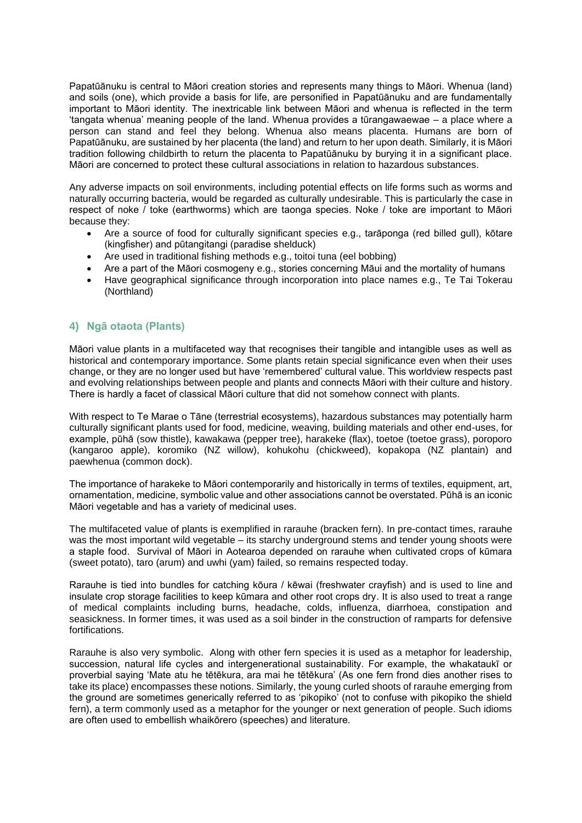Papatūānuku is central to Māori creation stories and represents many things to Māori. Whenua (land) and soils (one), which provide a basis for life, are personified in Papatūānuku and are fundamentally important to Māori identity. The inextricable link between Māori and whenua is reflected in the term 'tangata whenua' meaning people of the land. Whenua provides a tūrangawaewae – a place where a person can stand and feel they belong. Whenua also means placenta. Humans are born of Papatūānuku, are sustained by her placenta (the land) and return to her upon death. Similarly, it is Māori tradition following childbirth to return the placenta to Papatūānuku by burying it in a significant place. Māori are concerned to protect these cultural associations in relation to hazardous substances.

Any adverse impacts on soil environments, including potential effects on life forms such as worms and naturally occurring bacteria, would be regarded as culturally undesirable. This is particularly the case in respect of noke / toke (earthworms) which are taonga species. Noke / toke are important to Māori because they:

- Are a source of food for culturally significant species e.g., tarāponga (red billed gull), kōtare (kingfisher) and pūtangitangi (paradise shelduck)
- Are used in traditional fishing methods e.g., toitoi tuna (eel bobbing)
- Are a part of the Māori cosmogeny e.g., stories concerning Māui and the mortality of humans
- Have geographical significance through incorporation into place names e.g., Te Tai Tokerau (Northland)

#### **4) Ngā otaota (Plants)**

Māori value plants in a multifaceted way that recognises their tangible and intangible uses as well as historical and contemporary importance. Some plants retain special significance even when their uses change, or they are no longer used but have 'remembered' cultural value. This worldview respects past and evolving relationships between people and plants and connects Māori with their culture and history. There is hardly a facet of classical Māori culture that did not somehow connect with plants.

With respect to Te Marae o Tāne (terrestrial ecosystems), hazardous substances may potentially harm culturally significant plants used for food, medicine, weaving, building materials and other end-uses, for example, pūhā (sow thistle), kawakawa (pepper tree), harakeke (flax), toetoe (toetoe grass), poroporo (kangaroo apple), koromiko (NZ willow), kohukohu (chickweed), kopakopa (NZ plantain) and paewhenua (common dock).

The importance of harakeke to Māori contemporarily and historically in terms of textiles, equipment, art, ornamentation, medicine, symbolic value and other associations cannot be overstated. Pūhā is an iconic Māori vegetable and has a variety of medicinal uses.

The multifaceted value of plants is exemplified in rarauhe (bracken fern). In pre-contact times, rarauhe was the most important wild vegetable – its starchy underground stems and tender young shoots were a staple food. Survival of Māori in Aotearoa depended on rarauhe when cultivated crops of kūmara (sweet potato), taro (arum) and uwhi (yam) failed, so remains respected today.

Rarauhe is tied into bundles for catching kōura / kēwai (freshwater crayfish) and is used to line and insulate crop storage facilities to keep kūmara and other root crops dry. It is also used to treat a range of medical complaints including burns, headache, colds, influenza, diarrhoea, constipation and seasickness. In former times, it was used as a soil binder in the construction of ramparts for defensive fortifications.

Rarauhe is also very symbolic. Along with other fern species it is used as a metaphor for leadership, succession, natural life cycles and intergenerational sustainability. For example, the whakataukī or proverbial saying 'Mate atu he tētēkura, ara mai he tētēkura' (As one fern frond dies another rises to take its place) encompasses these notions. Similarly, the young curled shoots of rarauhe emerging from the ground are sometimes generically referred to as 'pikopiko' (not to confuse with pikopiko the shield fern), a term commonly used as a metaphor for the younger or next generation of people. Such idioms are often used to embellish whaikōrero (speeches) and literature.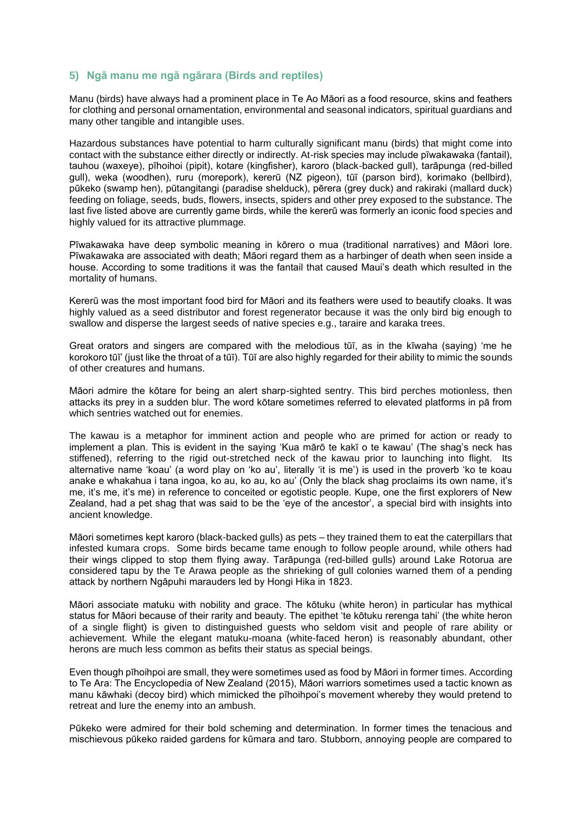#### **5) Ngā manu me ngā ngārara (Birds and reptiles)**

Manu (birds) have always had a prominent place in Te Ao Māori as a food resource, skins and feathers for clothing and personal ornamentation, environmental and seasonal indicators, spiritual guardians and many other tangible and intangible uses.

Hazardous substances have potential to harm culturally significant manu (birds) that might come into contact with the substance either directly or indirectly. At-risk species may include pīwakawaka (fantail), tauhou (waxeye), pīhoihoi (pipit), kotare (kingfisher), karoro (black-backed gull), tarāpunga (red-billed gull), weka (woodhen), ruru (morepork), kererū (NZ pigeon), tūī (parson bird), korimako (bellbird), pūkeko (swamp hen), pūtangitangi (paradise shelduck), pērera (grey duck) and rakiraki (mallard duck) feeding on foliage, seeds, buds, flowers, insects, spiders and other prey exposed to the substance. The last five listed above are currently game birds, while the kererū was formerly an iconic food species and highly valued for its attractive plummage.

Pīwakawaka have deep symbolic meaning in kōrero o mua (traditional narratives) and Māori lore. Pīwakawaka are associated with death; Māori regard them as a harbinger of death when seen inside a house. According to some traditions it was the fantail that caused Maui's death which resulted in the mortality of humans.

Kererū was the most important food bird for Māori and its feathers were used to beautify cloaks. It was highly valued as a seed distributor and forest regenerator because it was the only bird big enough to swallow and disperse the largest seeds of native species e.g., taraire and karaka trees.

Great orators and singers are compared with the melodious tūī, as in the kīwaha (saying) 'me he korokoro tūī' (just like the throat of a tūī). Tūī are also highly regarded for their ability to mimic the sounds of other creatures and humans.

Māori admire the kōtare for being an alert sharp-sighted sentry. This bird perches motionless, then attacks its prey in a sudden blur. The word kōtare sometimes referred to elevated platforms in pā from which sentries watched out for enemies.

The kawau is a metaphor for imminent action and people who are primed for action or ready to implement a plan. This is evident in the saying 'Kua mārō te kakī o te kawau' (The shag's neck has stiffened), referring to the rigid out-stretched neck of the kawau prior to launching into flight. Its alternative name 'koau' (a word play on 'ko au', literally 'it is me') is used in the proverb 'ko te koau anake e whakahua i tana ingoa, ko au, ko au, ko au' (Only the black shag proclaims its own name, it's me, it's me, it's me) in reference to conceited or egotistic people. Kupe, one the first explorers of New Zealand, had a pet shag that was said to be the 'eye of the ancestor', a special bird with insights into ancient knowledge.

Māori sometimes kept karoro (black-backed gulls) as pets – they trained them to eat the caterpillars that infested kumara crops. Some birds became tame enough to follow people around, while others had their wings clipped to stop them flying away. Tarāpunga (red-billed gulls) around Lake Rotorua are considered tapu by the Te Arawa people as the shrieking of gull colonies warned them of a pending attack by northern Ngāpuhi marauders led by Hongi Hika in 1823.

Māori associate matuku with nobility and grace. The kōtuku (white heron) in particular has mythical status for Māori because of their rarity and beauty. The epithet 'te kōtuku rerenga tahi' (the white heron of a single flight) is given to distinguished guests who seldom visit and people of rare ability or achievement. While the elegant matuku-moana (white-faced heron) is reasonably abundant, other herons are much less common as befits their status as special beings.

Even though pīhoihpoi are small, they were sometimes used as food by Māori in former times. According to Te Ara: The Encyclopedia of New Zealand (2015), Māori warriors sometimes used a tactic known as manu kāwhaki (decoy bird) which mimicked the pīhoihpoi's movement whereby they would pretend to retreat and lure the enemy into an ambush.

Pūkeko were admired for their bold scheming and determination. In former times the tenacious and mischievous pūkeko raided gardens for kūmara and taro. Stubborn, annoying people are compared to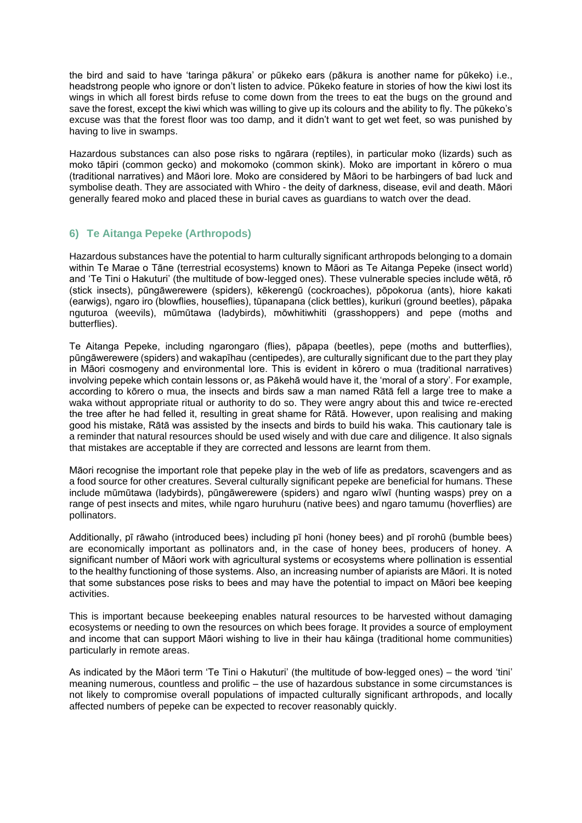the bird and said to have 'taringa pākura' or pūkeko ears (pākura is another name for pūkeko) i.e., headstrong people who ignore or don't listen to advice. Pūkeko feature in stories of how the kiwi lost its wings in which all forest birds refuse to come down from the trees to eat the bugs on the ground and save the forest, except the kiwi which was willing to give up its colours and the ability to fly. The pūkeko's excuse was that the forest floor was too damp, and it didn't want to get wet feet, so was punished by having to live in swamps.

Hazardous substances can also pose risks to ngārara (reptiles), in particular moko (lizards) such as moko tāpiri (common gecko) and mokomoko (common skink). Moko are important in kōrero o mua (traditional narratives) and Māori lore. Moko are considered by Māori to be harbingers of bad luck and symbolise death. They are associated with Whiro - the deity of darkness, disease, evil and death. Māori generally feared moko and placed these in burial caves as guardians to watch over the dead.

### **6) Te Aitanga Pepeke (Arthropods)**

Hazardous substances have the potential to harm culturally significant arthropods belonging to a domain within Te Marae o Tāne (terrestrial ecosystems) known to Māori as Te Aitanga Pepeke (insect world) and 'Te Tini o Hakuturi' (the multitude of bow-legged ones). These vulnerable species include wētā, rō (stick insects), pūngāwerewere (spiders), kēkerengū (cockroaches), pōpokorua (ants), hiore kakati (earwigs), ngaro iro (blowflies, houseflies), tūpanapana (click bettles), kurikuri (ground beetles), pāpaka nguturoa (weevils), mūmūtawa (ladybirds), mōwhitiwhiti (grasshoppers) and pepe (moths and butterflies).

Te Aitanga Pepeke, including ngarongaro (flies), pāpapa (beetles), pepe (moths and butterflies), pūngāwerewere (spiders) and wakapīhau (centipedes), are culturally significant due to the part they play in Māori cosmogeny and environmental lore. This is evident in kōrero o mua (traditional narratives) involving pepeke which contain lessons or, as Pākehā would have it, the 'moral of a story'. For example, according to kōrero o mua, the insects and birds saw a man named Rātā fell a large tree to make a waka without appropriate ritual or authority to do so. They were angry about this and twice re-erected the tree after he had felled it, resulting in great shame for Rātā. However, upon realising and making good his mistake, Rātā was assisted by the insects and birds to build his waka. This cautionary tale is a reminder that natural resources should be used wisely and with due care and diligence. It also signals that mistakes are acceptable if they are corrected and lessons are learnt from them.

Māori recognise the important role that pepeke play in the web of life as predators, scavengers and as a food source for other creatures. Several culturally significant pepeke are beneficial for humans. These include mūmūtawa (ladybirds), pūngāwerewere (spiders) and ngaro wīwī (hunting wasps) prey on a range of pest insects and mites, while ngaro huruhuru (native bees) and ngaro tamumu (hoverflies) are pollinators.

Additionally, pī rāwaho (introduced bees) including pī honi (honey bees) and pī rorohū (bumble bees) are economically important as pollinators and, in the case of honey bees, producers of honey. A significant number of Māori work with agricultural systems or ecosystems where pollination is essential to the healthy functioning of those systems. Also, an increasing number of apiarists are Māori. It is noted that some substances pose risks to bees and may have the potential to impact on Māori bee keeping activities.

This is important because beekeeping enables natural resources to be harvested without damaging ecosystems or needing to own the resources on which bees forage. It provides a source of employment and income that can support Māori wishing to live in their hau kāinga (traditional home communities) particularly in remote areas.

As indicated by the Māori term 'Te Tini o Hakuturi' (the multitude of bow-legged ones) – the word 'tini' meaning numerous, countless and prolific – the use of hazardous substance in some circumstances is not likely to compromise overall populations of impacted culturally significant arthropods, and locally affected numbers of pepeke can be expected to recover reasonably quickly.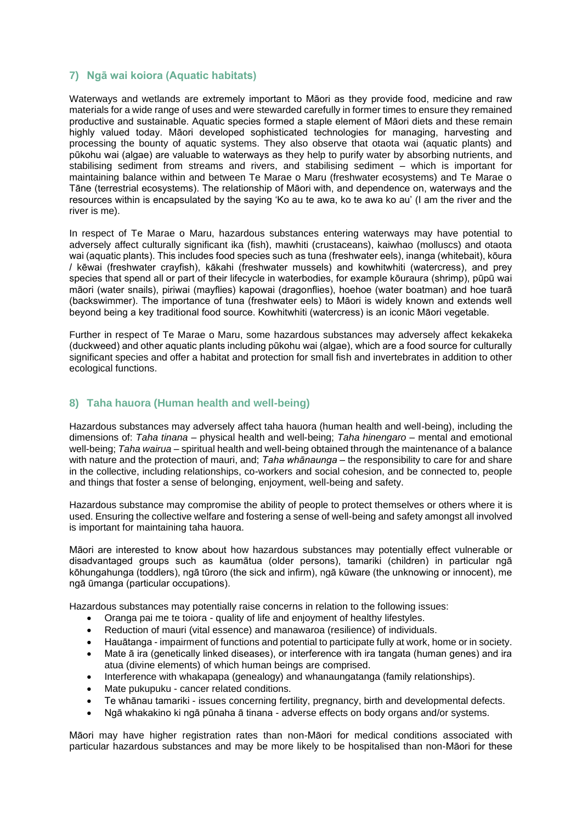#### **7) Ngā wai koiora (Aquatic habitats)**

Waterways and wetlands are extremely important to Māori as they provide food, medicine and raw materials for a wide range of uses and were stewarded carefully in former times to ensure they remained productive and sustainable. Aquatic species formed a staple element of Māori diets and these remain highly valued today. Māori developed sophisticated technologies for managing, harvesting and processing the bounty of aquatic systems. They also observe that otaota wai (aquatic plants) and pūkohu wai (algae) are valuable to waterways as they help to purify water by absorbing nutrients, and stabilising sediment from streams and rivers, and stabilising sediment – which is important for maintaining balance within and between Te Marae o Maru (freshwater ecosystems) and Te Marae o Tāne (terrestrial ecosystems). The relationship of Māori with, and dependence on, waterways and the resources within is encapsulated by the saying 'Ko au te awa, ko te awa ko au' (I am the river and the river is me).

In respect of Te Marae o Maru, hazardous substances entering waterways may have potential to adversely affect culturally significant ika (fish), mawhiti (crustaceans), kaiwhao (molluscs) and otaota wai (aquatic plants). This includes food species such as tuna (freshwater eels), inanga (whitebait), kōura / kēwai (freshwater crayfish), kākahi (freshwater mussels) and kowhitwhiti (watercress), and prey species that spend all or part of their lifecycle in waterbodies, for example kōuraura (shrimp), pūpū wai māori (water snails), piriwai (mayflies) kapowai (dragonflies), hoehoe (water boatman) and hoe tuarā (backswimmer). The importance of tuna (freshwater eels) to Māori is widely known and extends well beyond being a key traditional food source. Kowhitwhiti (watercress) is an iconic Māori vegetable.

Further in respect of Te Marae o Maru, some hazardous substances may adversely affect kekakeka (duckweed) and other aquatic plants including pūkohu wai (algae), which are a food source for culturally significant species and offer a habitat and protection for small fish and invertebrates in addition to other ecological functions.

#### **8) Taha hauora (Human health and well-being)**

Hazardous substances may adversely affect taha hauora (human health and well-being), including the dimensions of: *Taha tinana* – physical health and well-being; *Taha hinengaro* – mental and emotional well-being; *Taha wairua* – spiritual health and well-being obtained through the maintenance of a balance with nature and the protection of mauri, and; *Taha whānaunga* – the responsibility to care for and share in the collective, including relationships, co-workers and social cohesion, and be connected to, people and things that foster a sense of belonging, enjoyment, well-being and safety.

Hazardous substance may compromise the ability of people to protect themselves or others where it is used. Ensuring the collective welfare and fostering a sense of well-being and safety amongst all involved is important for maintaining taha hauora.

Māori are interested to know about how hazardous substances may potentially effect vulnerable or disadvantaged groups such as kaumātua (older persons), tamariki (children) in particular ngā kōhungahunga (toddlers), ngā tūroro (the sick and infirm), ngā kūware (the unknowing or innocent), me ngā ūmanga (particular occupations).

Hazardous substances may potentially raise concerns in relation to the following issues:

- Oranga pai me te toiora quality of life and enjoyment of healthy lifestyles.
- Reduction of mauri (vital essence) and manawaroa (resilience) of individuals.
- Hauātanga impairment of functions and potential to participate fully at work, home or in society.
- Mate ā ira (genetically linked diseases), or interference with ira tangata (human genes) and ira atua (divine elements) of which human beings are comprised.
- Interference with whakapapa (genealogy) and whanaungatanga (family relationships).
- Mate pukupuku cancer related conditions.
- Te whānau tamariki issues concerning fertility, pregnancy, birth and developmental defects.
- Ngā whakakino ki ngā pūnaha ā tinana adverse effects on body organs and/or systems.

Māori may have higher registration rates than non-Māori for medical conditions associated with particular hazardous substances and may be more likely to be hospitalised than non-Māori for these